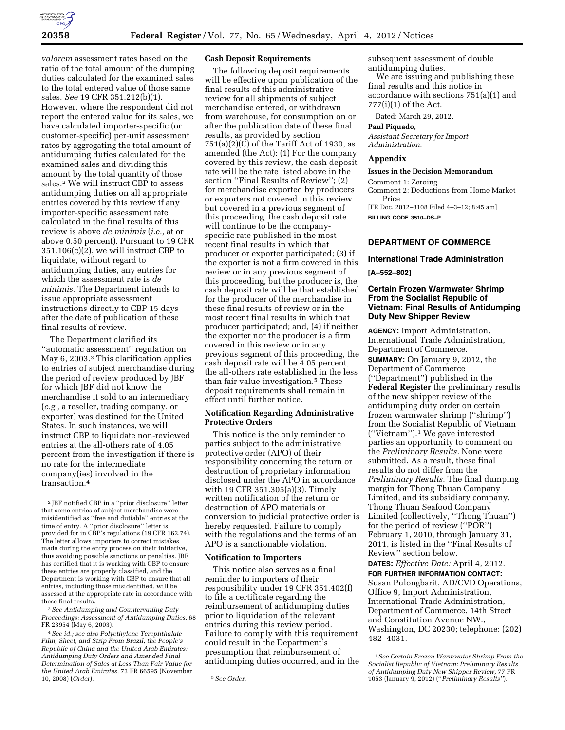

*valorem* assessment rates based on the ratio of the total amount of the dumping duties calculated for the examined sales to the total entered value of those same sales. *See* 19 CFR 351.212(b)(1). However, where the respondent did not report the entered value for its sales, we have calculated importer-specific (or customer-specific) per-unit assessment rates by aggregating the total amount of antidumping duties calculated for the examined sales and dividing this amount by the total quantity of those sales.2 We will instruct CBP to assess antidumping duties on all appropriate entries covered by this review if any importer-specific assessment rate calculated in the final results of this review is above *de minimis* (*i.e.,* at or above 0.50 percent). Pursuant to 19 CFR 351.106(c)(2), we will instruct CBP to liquidate, without regard to antidumping duties, any entries for which the assessment rate is *de minimis.* The Department intends to issue appropriate assessment instructions directly to CBP 15 days after the date of publication of these final results of review.

The Department clarified its ''automatic assessment'' regulation on May 6, 2003.3 This clarification applies to entries of subject merchandise during the period of review produced by JBF for which JBF did not know the merchandise it sold to an intermediary (*e.g.,* a reseller, trading company, or exporter) was destined for the United States. In such instances, we will instruct CBP to liquidate non-reviewed entries at the all-others rate of 4.05 percent from the investigation if there is no rate for the intermediate company(ies) involved in the transaction.4

3*See Antidumping and Countervailing Duty Proceedings: Assessment of Antidumping Duties,* 68 FR 23954 (May 6, 2003).

4*See id.; see also Polyethylene Terephthalate Film, Sheet, and Strip From Brazil, the People's Republic of China and the United Arab Emirates: Antidumping Duty Orders and Amended Final Determination of Sales at Less Than Fair Value for the United Arab Emirates,* 73 FR 66595 (November 10, 2008) (*Order*). 5*See Order.* 

#### **Cash Deposit Requirements**

The following deposit requirements will be effective upon publication of the final results of this administrative review for all shipments of subject merchandise entered, or withdrawn from warehouse, for consumption on or after the publication date of these final results, as provided by section  $751(a)(2)(C)$  of the Tariff Act of 1930, as amended (the Act): (1) For the company covered by this review, the cash deposit rate will be the rate listed above in the section ''Final Results of Review''; (2) for merchandise exported by producers or exporters not covered in this review but covered in a previous segment of this proceeding, the cash deposit rate will continue to be the companyspecific rate published in the most recent final results in which that producer or exporter participated; (3) if the exporter is not a firm covered in this review or in any previous segment of this proceeding, but the producer is, the cash deposit rate will be that established for the producer of the merchandise in these final results of review or in the most recent final results in which that producer participated; and, (4) if neither the exporter nor the producer is a firm covered in this review or in any previous segment of this proceeding, the cash deposit rate will be 4.05 percent, the all-others rate established in the less than fair value investigation.5 These deposit requirements shall remain in effect until further notice.

#### **Notification Regarding Administrative Protective Orders**

This notice is the only reminder to parties subject to the administrative protective order (APO) of their responsibility concerning the return or destruction of proprietary information disclosed under the APO in accordance with 19 CFR 351.305(a)(3). Timely written notification of the return or destruction of APO materials or conversion to judicial protective order is hereby requested. Failure to comply with the regulations and the terms of an APO is a sanctionable violation.

#### **Notification to Importers**

This notice also serves as a final reminder to importers of their responsibility under 19 CFR 351.402(f) to file a certificate regarding the reimbursement of antidumping duties prior to liquidation of the relevant entries during this review period. Failure to comply with this requirement could result in the Department's presumption that reimbursement of antidumping duties occurred, and in the subsequent assessment of double antidumping duties.

We are issuing and publishing these final results and this notice in accordance with sections 751(a)(1) and 777(i)(1) of the Act.

Dated: March 29, 2012.

#### **Paul Piquado,**

*Assistant Secretary for Import Administration.* 

#### **Appendix**

**Issues in the Decision Memorandum** 

Comment 1: Zeroing

Comment 2: Deductions from Home Market Price

[FR Doc. 2012–8108 Filed 4–3–12; 8:45 am] **BILLING CODE 3510–DS–P** 

## **DEPARTMENT OF COMMERCE**

# **International Trade Administration [A–552–802]**

## **Certain Frozen Warmwater Shrimp From the Socialist Republic of Vietnam: Final Results of Antidumping Duty New Shipper Review**

**AGENCY:** Import Administration, International Trade Administration, Department of Commerce.

**SUMMARY:** On January 9, 2012, the Department of Commerce (''Department'') published in the **Federal Register** the preliminary results of the new shipper review of the antidumping duty order on certain frozen warmwater shrimp (''shrimp'') from the Socialist Republic of Vietnam (''Vietnam'').1 We gave interested parties an opportunity to comment on the *Preliminary Results.* None were submitted. As a result, these final results do not differ from the *Preliminary Results.* The final dumping margin for Thong Thuan Company Limited, and its subsidiary company, Thong Thuan Seafood Company Limited (collectively, ''Thong Thuan'') for the period of review (''POR'') February 1, 2010, through January 31, 2011, is listed in the ''Final Results of Review'' section below.

**DATES:** *Effective Date:* April 4, 2012. **FOR FURTHER INFORMATION CONTACT:**  Susan Pulongbarit, AD/CVD Operations, Office 9, Import Administration, International Trade Administration, Department of Commerce, 14th Street and Constitution Avenue NW., Washington, DC 20230; telephone: (202) 482–4031.

<sup>2</sup> JBF notified CBP in a ''prior disclosure'' letter that some entries of subject merchandise were misidentified as ''free and dutiable'' entries at the time of entry. A ''prior disclosure'' letter is provided for in CBP's regulations (19 CFR 162.74). The letter allows importers to correct mistakes made during the entry process on their initiative, thus avoiding possible sanctions or penalties. JBF has certified that it is working with CBP to ensure these entries are properly classified, and the Department is working with CBP to ensure that all entries, including those misidentified, will be assessed at the appropriate rate in accordance with these final results.

<sup>1</sup>*See Certain Frozen Warmwater Shrimp From the Socialist Republic of Vietnam: Preliminary Results of Antidumping Duty New Shipper Review,* 77 FR 1053 (January 9, 2012) (''*Preliminary Results''*).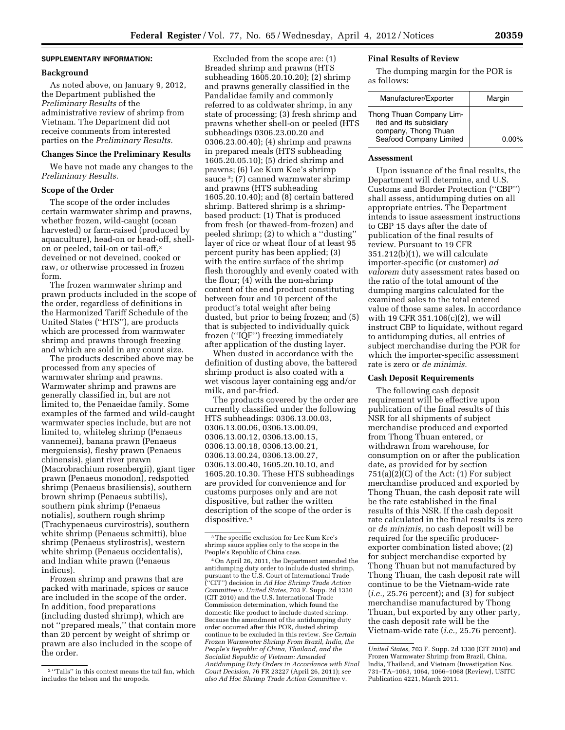#### **SUPPLEMENTARY INFORMATION:**

#### **Background**

As noted above, on January 9, 2012, the Department published the *Preliminary Results* of the administrative review of shrimp from Vietnam. The Department did not receive comments from interested parties on the *Preliminary Results.* 

#### **Changes Since the Preliminary Results**

We have not made any changes to the *Preliminary Results.* 

#### **Scope of the Order**

The scope of the order includes certain warmwater shrimp and prawns, whether frozen, wild-caught (ocean harvested) or farm-raised (produced by aquaculture), head-on or head-off, shellon or peeled, tail-on or tail-off,2 deveined or not deveined, cooked or raw, or otherwise processed in frozen form.

The frozen warmwater shrimp and prawn products included in the scope of the order, regardless of definitions in the Harmonized Tariff Schedule of the United States (''HTS''), are products which are processed from warmwater shrimp and prawns through freezing and which are sold in any count size.

The products described above may be processed from any species of warmwater shrimp and prawns. Warmwater shrimp and prawns are generally classified in, but are not limited to, the Penaeidae family. Some examples of the farmed and wild-caught warmwater species include, but are not limited to, whiteleg shrimp (Penaeus vannemei), banana prawn (Penaeus merguiensis), fleshy prawn (Penaeus chinensis), giant river prawn (Macrobrachium rosenbergii), giant tiger prawn (Penaeus monodon), redspotted shrimp (Penaeus brasiliensis), southern brown shrimp (Penaeus subtilis), southern pink shrimp (Penaeus notialis), southern rough shrimp (Trachypenaeus curvirostris), southern white shrimp (Penaeus schmitti), blue shrimp (Penaeus stylirostris), western white shrimp (Penaeus occidentalis), and Indian white prawn (Penaeus indicus).

Frozen shrimp and prawns that are packed with marinade, spices or sauce are included in the scope of the order. In addition, food preparations (including dusted shrimp), which are not ''prepared meals,'' that contain more than 20 percent by weight of shrimp or prawn are also included in the scope of the order.

 $^{\rm 2 \text{ } \cdot \cdot \cdot}$  Tails'' in this context means the tail fan, which includes the telson and the uropods.

Excluded from the scope are: (1) Breaded shrimp and prawns (HTS subheading 1605.20.10.20); (2) shrimp and prawns generally classified in the Pandalidae family and commonly referred to as coldwater shrimp, in any state of processing; (3) fresh shrimp and prawns whether shell-on or peeled (HTS subheadings 0306.23.00.20 and 0306.23.00.40); (4) shrimp and prawns in prepared meals (HTS subheading 1605.20.05.10); (5) dried shrimp and prawns; (6) Lee Kum Kee's shrimp sauce 3; (7) canned warmwater shrimp and prawns (HTS subheading 1605.20.10.40); and (8) certain battered shrimp. Battered shrimp is a shrimpbased product: (1) That is produced from fresh (or thawed-from-frozen) and peeled shrimp; (2) to which a ''dusting'' layer of rice or wheat flour of at least 95 percent purity has been applied; (3) with the entire surface of the shrimp flesh thoroughly and evenly coated with the flour; (4) with the non-shrimp content of the end product constituting between four and 10 percent of the product's total weight after being dusted, but prior to being frozen; and (5) that is subjected to individually quick frozen (''IQF'') freezing immediately after application of the dusting layer.

When dusted in accordance with the definition of dusting above, the battered shrimp product is also coated with a wet viscous layer containing egg and/or milk, and par-fried.

The products covered by the order are currently classified under the following HTS subheadings: 0306.13.00.03, 0306.13.00.06, 0306.13.00.09, 0306.13.00.12, 0306.13.00.15, 0306.13.00.18, 0306.13.00.21, 0306.13.00.24, 0306.13.00.27, 0306.13.00.40, 1605.20.10.10, and 1605.20.10.30. These HTS subheadings are provided for convenience and for customs purposes only and are not dispositive, but rather the written description of the scope of the order is dispositive.4

4On April 26, 2011, the Department amended the antidumping duty order to include dusted shrimp, pursuant to the U.S. Court of International Trade (''CIT'') decision in *Ad Hoc Shrimp Trade Action Committee* v. *United States,* 703 F. Supp. 2d 1330 (CIT 2010) and the U.S. International Trade Commission determination, which found the domestic like product to include dusted shrimp. Because the amendment of the antidumping duty order occurred after this POR, dusted shrimp continue to be excluded in this review. *See Certain Frozen Warmwater Shrimp From Brazil, India, the People's Republic of China, Thailand, and the Socialist Republic of Vietnam: Amended Antidumping Duty Orders in Accordance with Final Court Decision,* 76 FR 23227 (April 26, 2011); *see also Ad Hoc Shrimp Trade Action Committee* v.

#### **Final Results of Review**

The dumping margin for the POR is as follows:

| Manufacturer/Exporter                                                                                  | Margin   |
|--------------------------------------------------------------------------------------------------------|----------|
| Thong Thuan Company Lim-<br>ited and its subsidiary<br>company, Thong Thuan<br>Seafood Company Limited | $0.00\%$ |

#### **Assessment**

Upon issuance of the final results, the Department will determine, and U.S. Customs and Border Protection (''CBP'') shall assess, antidumping duties on all appropriate entries. The Department intends to issue assessment instructions to CBP 15 days after the date of publication of the final results of review. Pursuant to 19 CFR 351.212(b)(1), we will calculate importer-specific (or customer) *ad valorem* duty assessment rates based on the ratio of the total amount of the dumping margins calculated for the examined sales to the total entered value of those same sales. In accordance with 19 CFR 351.106(c)(2), we will instruct CBP to liquidate, without regard to antidumping duties, all entries of subject merchandise during the POR for which the importer-specific assessment rate is zero or *de minimis.* 

## **Cash Deposit Requirements**

The following cash deposit requirement will be effective upon publication of the final results of this NSR for all shipments of subject merchandise produced and exported from Thong Thuan entered, or withdrawn from warehouse, for consumption on or after the publication date, as provided for by section  $751(a)(2)(C)$  of the Act:  $(1)$  For subject merchandise produced and exported by Thong Thuan, the cash deposit rate will be the rate established in the final results of this NSR. If the cash deposit rate calculated in the final results is zero or *de minimis,* no cash deposit will be required for the specific producerexporter combination listed above; (2) for subject merchandise exported by Thong Thuan but not manufactured by Thong Thuan, the cash deposit rate will continue to be the Vietnam-wide rate (*i.e.,* 25.76 percent); and (3) for subject merchandise manufactured by Thong Thuan, but exported by any other party, the cash deposit rate will be the Vietnam-wide rate (*i.e.,* 25.76 percent).

<sup>3</sup>The specific exclusion for Lee Kum Kee's shrimp sauce applies only to the scope in the People's Republic of China case.

*United States,* 703 F. Supp. 2d 1330 (CIT 2010) and Frozen Warmwater Shrimp from Brazil, China, India, Thailand, and Vietnam (Investigation Nos. 731–TA–1063, 1064, 1066–1068 (Review), USITC Publication 4221, March 2011.